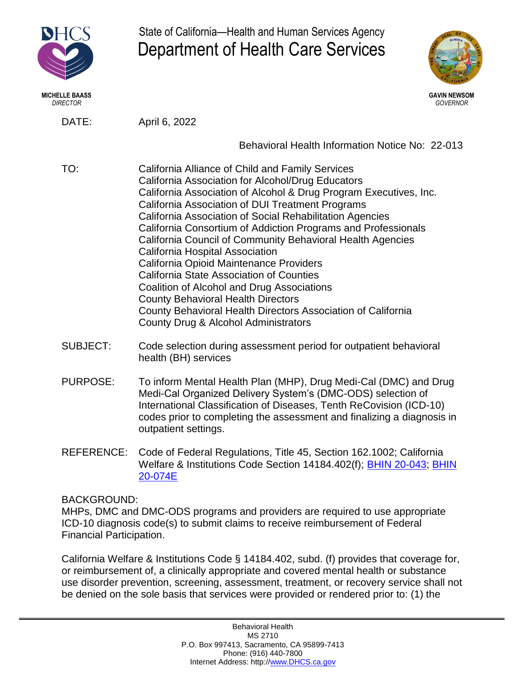

**MICHELLE BAASS GAVIN NEWSOM** *DIRECTOR GOVERNOR*

State of California—Health and Human Services Agency Department of Health Care Services



DATE: April 6, 2022

Behavioral Health Information Notice No: 22-013

- TO: California Alliance of Child and Family Services California Association for Alcohol/Drug Educators California Association of Alcohol & Drug Program Executives, Inc. California Association of DUI Treatment Programs California Association of Social Rehabilitation Agencies California Consortium of Addiction Programs and Professionals California Council of Community Behavioral Health Agencies California Hospital Association California Opioid Maintenance Providers California State Association of Counties Coalition of Alcohol and Drug Associations County Behavioral Health Directors County Behavioral Health Directors Association of California County Drug & Alcohol Administrators
- SUBJECT: Code selection during assessment period for outpatient behavioral health (BH) services
- PURPOSE: To inform Mental Health Plan (MHP), Drug Medi-Cal (DMC) and Drug Medi-Cal Organized Delivery System's (DMC-ODS) selection of International Classification of Diseases, Tenth ReCovision (ICD-10) codes prior to completing the assessment and finalizing a diagnosis in outpatient settings.
- REFERENCE: Code of Federal Regulations, Title 45, Section 162.1002; California Welfare & Institutions Code Section 14184.402(f); [BHIN 20-043;](https://www.dhcs.ca.gov/Documents/BHIN-20-043-2020-International-Classification-of-Diseases-ICD-10-Included-Code-Sets-Update.pdf) [BHIN](https://www.dhcs.ca.gov/Documents/BHIN-20-074E.pdf)  [20-074E](https://www.dhcs.ca.gov/Documents/BHIN-20-074E.pdf)

## BACKGROUND:

MHPs, DMC and DMC-ODS programs and providers are required to use appropriate ICD-10 diagnosis code(s) to submit claims to receive reimbursement of Federal Financial Participation.

California Welfare & Institutions Code § 14184.402, subd. (f) provides that coverage for, or reimbursement of, a clinically appropriate and covered mental health or substance use disorder prevention, screening, assessment, treatment, or recovery service shall not be denied on the sole basis that services were provided or rendered prior to: (1) the